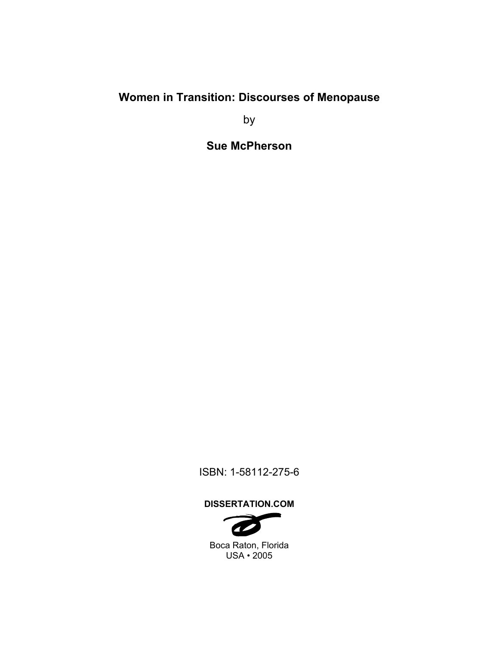# **Women in Transition: Discourses of Menopause**

by

**Sue McPherson** 

ISBN: 1-58112-275-6

## **DISSERTATION.COM**

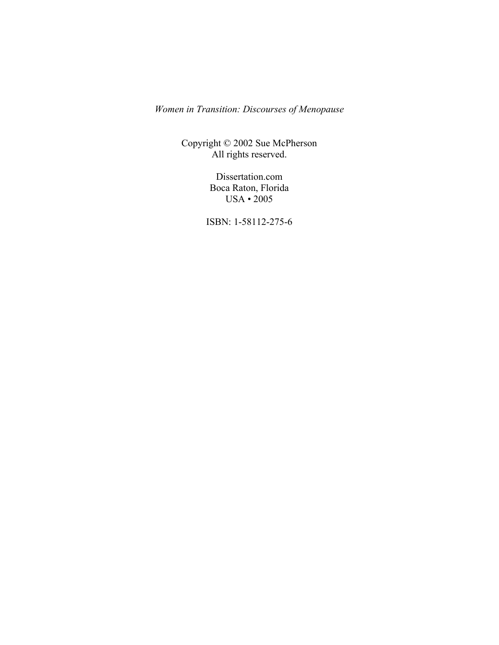*Women in Transition: Discourses of Menopause* 

Copyright © 2002 Sue McPherson All rights reserved.

> Dissertation.com Boca Raton, Florida USA • 2005

ISBN: 1-58112-275-6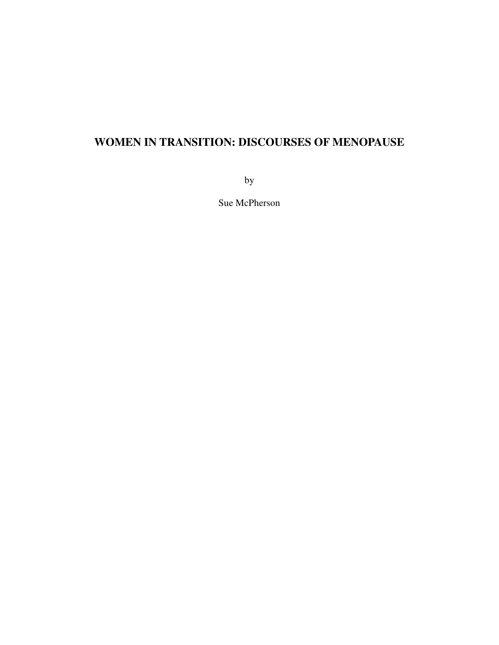# **WOMEN IN TRANSITION: DISCOURSES OF MENOPAUSE**

by

Sue McPherson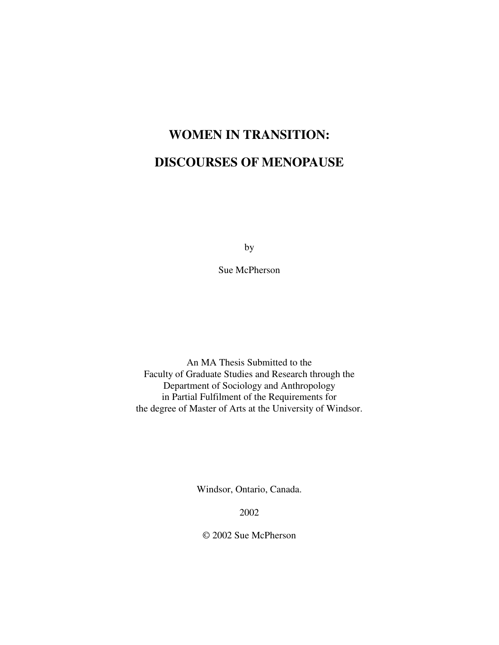# **WOMEN IN TRANSITION: DISCOURSES OF MENOPAUSE**

by

Sue McPherson

An MA Thesis Submitted to the Faculty of Graduate Studies and Research through the Department of Sociology and Anthropology in Partial Fulfilment of the Requirements for the degree of Master of Arts at the University of Windsor.

Windsor, Ontario, Canada.

2002

© 2002 Sue McPherson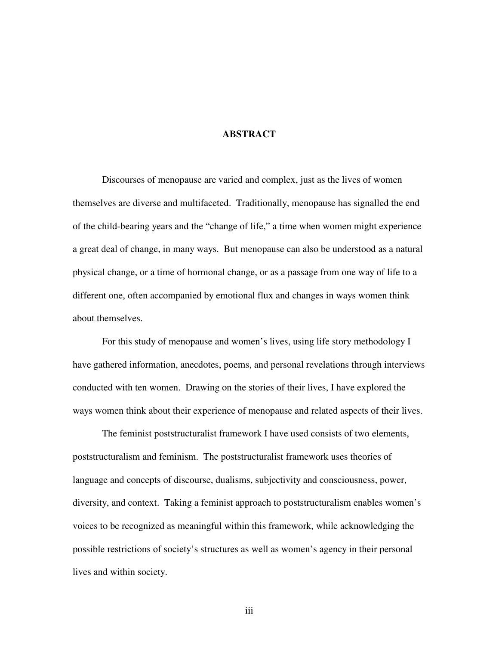## **ABSTRACT**

Discourses of menopause are varied and complex, just as the lives of women themselves are diverse and multifaceted. Traditionally, menopause has signalled the end of the child-bearing years and the "change of life," a time when women might experience a great deal of change, in many ways. But menopause can also be understood as a natural physical change, or a time of hormonal change, or as a passage from one way of life to a different one, often accompanied by emotional flux and changes in ways women think about themselves.

For this study of menopause and women's lives, using life story methodology I have gathered information, anecdotes, poems, and personal revelations through interviews conducted with ten women. Drawing on the stories of their lives, I have explored the ways women think about their experience of menopause and related aspects of their lives.

The feminist poststructuralist framework I have used consists of two elements, poststructuralism and feminism. The poststructuralist framework uses theories of language and concepts of discourse, dualisms, subjectivity and consciousness, power, diversity, and context. Taking a feminist approach to poststructuralism enables women's voices to be recognized as meaningful within this framework, while acknowledging the possible restrictions of society's structures as well as women's agency in their personal lives and within society.

iii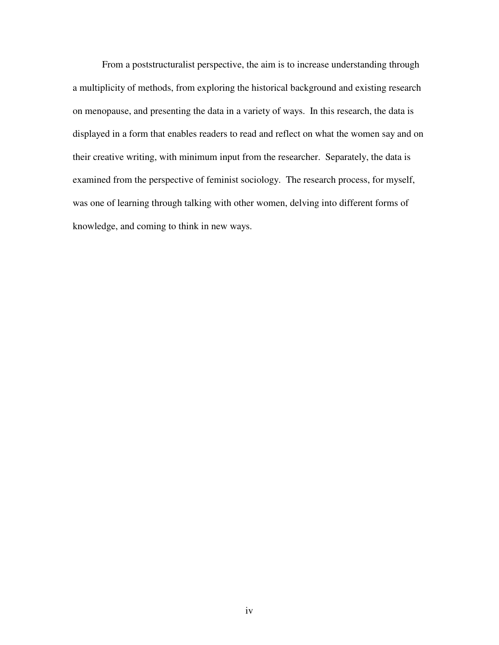From a poststructuralist perspective, the aim is to increase understanding through a multiplicity of methods, from exploring the historical background and existing research on menopause, and presenting the data in a variety of ways. In this research, the data is displayed in a form that enables readers to read and reflect on what the women say and on their creative writing, with minimum input from the researcher. Separately, the data is examined from the perspective of feminist sociology. The research process, for myself, was one of learning through talking with other women, delving into different forms of knowledge, and coming to think in new ways.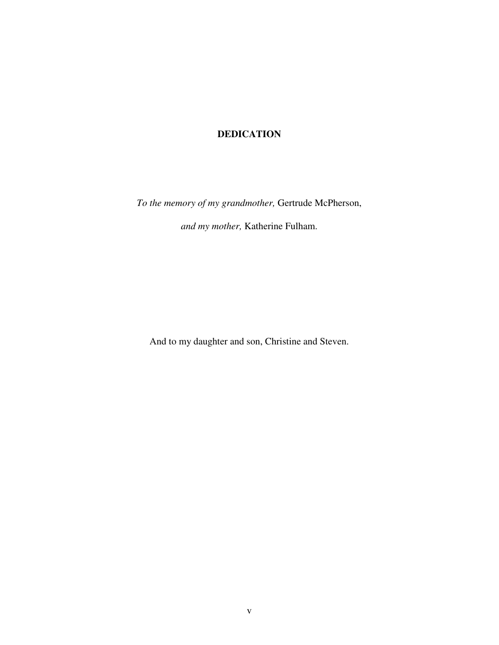# **DEDICATION**

*To the memory of my grandmother,* Gertrude McPherson,

*and my mother,* Katherine Fulham.

And to my daughter and son, Christine and Steven.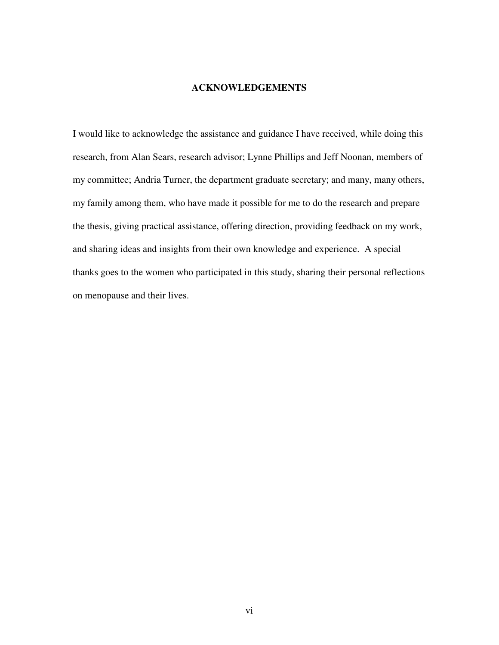#### **ACKNOWLEDGEMENTS**

I would like to acknowledge the assistance and guidance I have received, while doing this research, from Alan Sears, research advisor; Lynne Phillips and Jeff Noonan, members of my committee; Andria Turner, the department graduate secretary; and many, many others, my family among them, who have made it possible for me to do the research and prepare the thesis, giving practical assistance, offering direction, providing feedback on my work, and sharing ideas and insights from their own knowledge and experience. A special thanks goes to the women who participated in this study, sharing their personal reflections on menopause and their lives.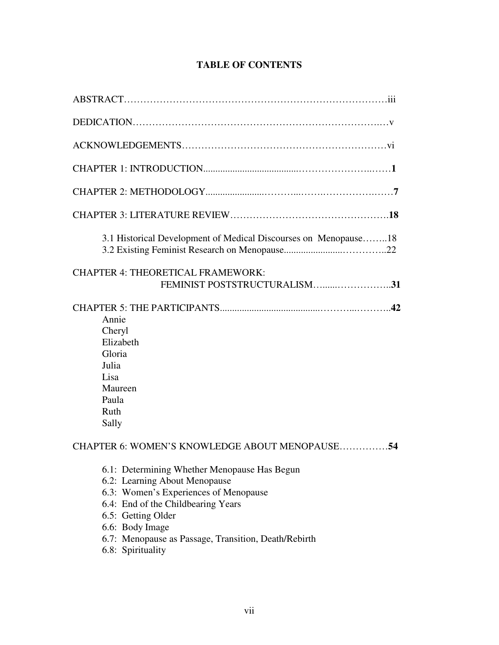# **TABLE OF CONTENTS**

| 3.1 Historical Development of Medical Discourses on Menopause18                                                                                                                                                                      |
|--------------------------------------------------------------------------------------------------------------------------------------------------------------------------------------------------------------------------------------|
| <b>CHAPTER 4: THEORETICAL FRAMEWORK:</b><br>FEMINIST POSTSTRUCTURALISM31                                                                                                                                                             |
| Annie<br>Cheryl<br>Elizabeth<br>Gloria<br>Julia<br>Lisa<br>Maureen<br>Paula<br>Ruth<br>Sally                                                                                                                                         |
| CHAPTER 6: WOMEN'S KNOWLEDGE ABOUT MENOPAUSE54<br>6.1: Determining Whether Menopause Has Begun<br>6.2: Learning About Menopause<br>6.3: Women's Experiences of Menopause<br>6.4: End of the Childbearing Years<br>6.5: Getting Older |

- 6.6: Body Image
- 6.7: Menopause as Passage, Transition, Death/Rebirth
- 6.8: Spirituality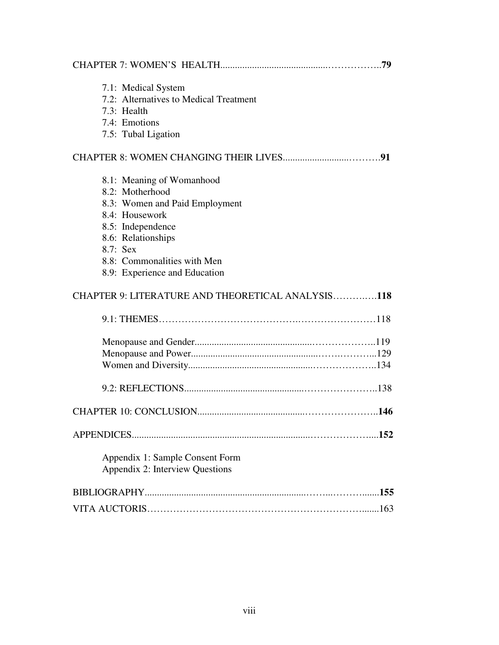| 7.1: Medical System<br>7.2: Alternatives to Medical Treatment<br>7.3: Health<br>7.4: Emotions |
|-----------------------------------------------------------------------------------------------|
| 7.5: Tubal Ligation                                                                           |
|                                                                                               |
| 8.1: Meaning of Womanhood<br>8.2: Motherhood                                                  |
| 8.3: Women and Paid Employment                                                                |
| 8.4: Housework<br>8.5: Independence                                                           |
| 8.6: Relationships                                                                            |
| 8.7: Sex<br>8.8: Commonalities with Men                                                       |
| 8.9: Experience and Education                                                                 |
| CHAPTER 9: LITERATURE AND THEORETICAL ANALYSIS118                                             |
|                                                                                               |
|                                                                                               |
|                                                                                               |
|                                                                                               |
|                                                                                               |
|                                                                                               |
|                                                                                               |
|                                                                                               |
| Appendix 1: Sample Consent Form<br>Appendix 2: Interview Questions                            |
|                                                                                               |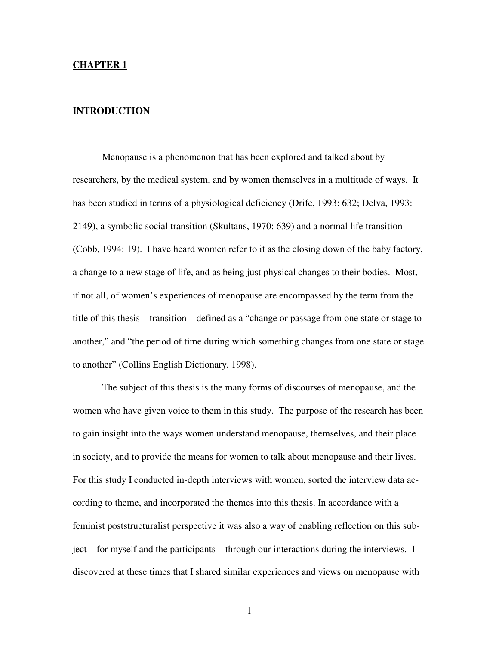#### **CHAPTER 1**

#### **INTRODUCTION**

Menopause is a phenomenon that has been explored and talked about by researchers, by the medical system, and by women themselves in a multitude of ways. It has been studied in terms of a physiological deficiency (Drife, 1993: 632; Delva, 1993: 2149), a symbolic social transition (Skultans, 1970: 639) and a normal life transition (Cobb, 1994: 19). I have heard women refer to it as the closing down of the baby factory, a change to a new stage of life, and as being just physical changes to their bodies. Most, if not all, of women's experiences of menopause are encompassed by the term from the title of this thesis—transition—defined as a "change or passage from one state or stage to another," and "the period of time during which something changes from one state or stage to another" (Collins English Dictionary, 1998).

The subject of this thesis is the many forms of discourses of menopause, and the women who have given voice to them in this study. The purpose of the research has been to gain insight into the ways women understand menopause, themselves, and their place in society, and to provide the means for women to talk about menopause and their lives. For this study I conducted in-depth interviews with women, sorted the interview data according to theme, and incorporated the themes into this thesis. In accordance with a feminist poststructuralist perspective it was also a way of enabling reflection on this subject—for myself and the participants—through our interactions during the interviews. I discovered at these times that I shared similar experiences and views on menopause with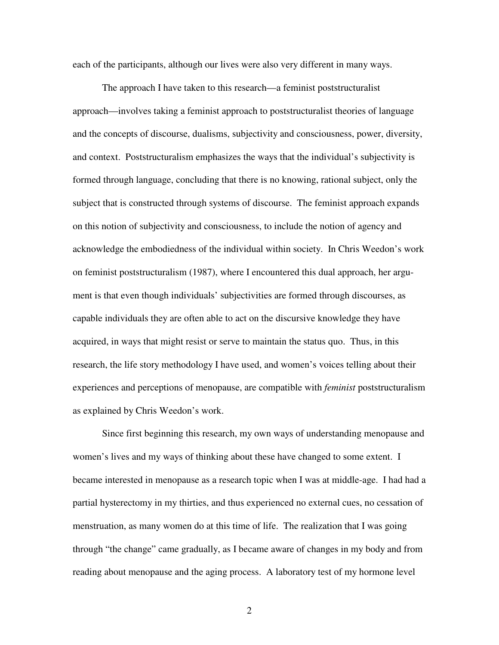each of the participants, although our lives were also very different in many ways.

The approach I have taken to this research—a feminist poststructuralist approach—involves taking a feminist approach to poststructuralist theories of language and the concepts of discourse, dualisms, subjectivity and consciousness, power, diversity, and context. Poststructuralism emphasizes the ways that the individual's subjectivity is formed through language, concluding that there is no knowing, rational subject, only the subject that is constructed through systems of discourse. The feminist approach expands on this notion of subjectivity and consciousness, to include the notion of agency and acknowledge the embodiedness of the individual within society. In Chris Weedon's work on feminist poststructuralism (1987), where I encountered this dual approach, her argument is that even though individuals' subjectivities are formed through discourses, as capable individuals they are often able to act on the discursive knowledge they have acquired, in ways that might resist or serve to maintain the status quo. Thus, in this research, the life story methodology I have used, and women's voices telling about their experiences and perceptions of menopause, are compatible with *feminist* poststructuralism as explained by Chris Weedon's work.

Since first beginning this research, my own ways of understanding menopause and women's lives and my ways of thinking about these have changed to some extent. I became interested in menopause as a research topic when I was at middle-age. I had had a partial hysterectomy in my thirties, and thus experienced no external cues, no cessation of menstruation, as many women do at this time of life. The realization that I was going through "the change" came gradually, as I became aware of changes in my body and from reading about menopause and the aging process. A laboratory test of my hormone level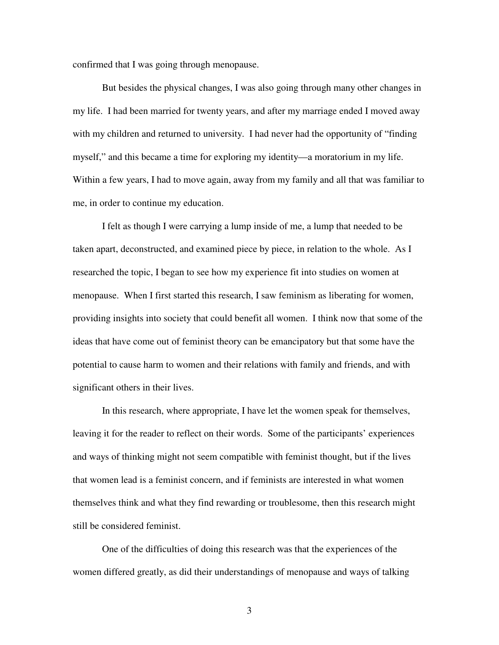confirmed that I was going through menopause.

But besides the physical changes, I was also going through many other changes in my life. I had been married for twenty years, and after my marriage ended I moved away with my children and returned to university. I had never had the opportunity of "finding myself," and this became a time for exploring my identity—a moratorium in my life. Within a few years, I had to move again, away from my family and all that was familiar to me, in order to continue my education.

I felt as though I were carrying a lump inside of me, a lump that needed to be taken apart, deconstructed, and examined piece by piece, in relation to the whole. As I researched the topic, I began to see how my experience fit into studies on women at menopause. When I first started this research, I saw feminism as liberating for women, providing insights into society that could benefit all women. I think now that some of the ideas that have come out of feminist theory can be emancipatory but that some have the potential to cause harm to women and their relations with family and friends, and with significant others in their lives.

In this research, where appropriate, I have let the women speak for themselves, leaving it for the reader to reflect on their words. Some of the participants' experiences and ways of thinking might not seem compatible with feminist thought, but if the lives that women lead is a feminist concern, and if feminists are interested in what women themselves think and what they find rewarding or troublesome, then this research might still be considered feminist.

One of the difficulties of doing this research was that the experiences of the women differed greatly, as did their understandings of menopause and ways of talking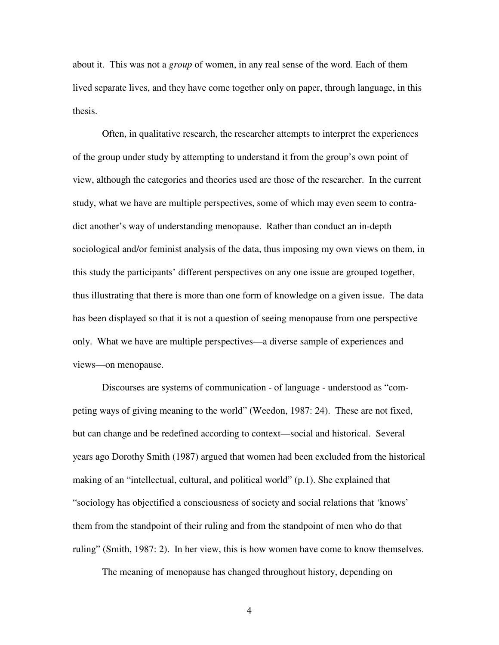about it. This was not a *group* of women, in any real sense of the word. Each of them lived separate lives, and they have come together only on paper, through language, in this thesis.

Often, in qualitative research, the researcher attempts to interpret the experiences of the group under study by attempting to understand it from the group's own point of view, although the categories and theories used are those of the researcher. In the current study, what we have are multiple perspectives, some of which may even seem to contradict another's way of understanding menopause. Rather than conduct an in-depth sociological and/or feminist analysis of the data, thus imposing my own views on them, in this study the participants' different perspectives on any one issue are grouped together, thus illustrating that there is more than one form of knowledge on a given issue. The data has been displayed so that it is not a question of seeing menopause from one perspective only. What we have are multiple perspectives—a diverse sample of experiences and views—on menopause.

Discourses are systems of communication - of language - understood as "competing ways of giving meaning to the world" (Weedon, 1987: 24). These are not fixed, but can change and be redefined according to context—social and historical. Several years ago Dorothy Smith (1987) argued that women had been excluded from the historical making of an "intellectual, cultural, and political world" (p.1). She explained that "sociology has objectified a consciousness of society and social relations that 'knows' them from the standpoint of their ruling and from the standpoint of men who do that ruling" (Smith, 1987: 2). In her view, this is how women have come to know themselves.

The meaning of menopause has changed throughout history, depending on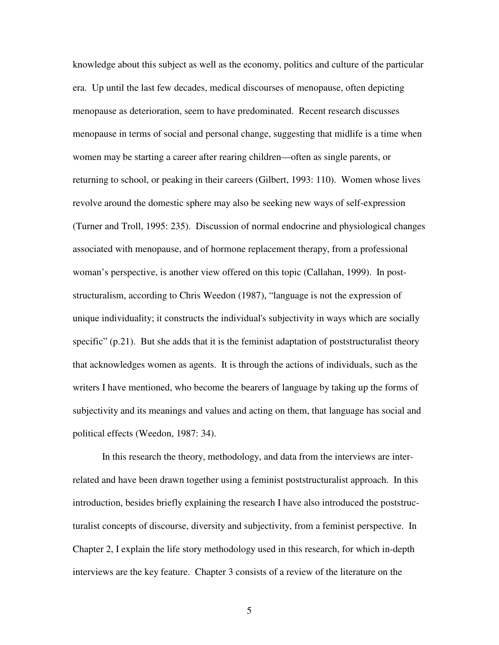knowledge about this subject as well as the economy, politics and culture of the particular era. Up until the last few decades, medical discourses of menopause, often depicting menopause as deterioration, seem to have predominated. Recent research discusses menopause in terms of social and personal change, suggesting that midlife is a time when women may be starting a career after rearing children—often as single parents, or returning to school, or peaking in their careers (Gilbert, 1993: 110). Women whose lives revolve around the domestic sphere may also be seeking new ways of self-expression (Turner and Troll, 1995: 235). Discussion of normal endocrine and physiological changes associated with menopause, and of hormone replacement therapy, from a professional woman's perspective, is another view offered on this topic (Callahan, 1999). In poststructuralism, according to Chris Weedon (1987), "language is not the expression of unique individuality; it constructs the individual's subjectivity in ways which are socially specific" (p.21). But she adds that it is the feminist adaptation of poststructuralist theory that acknowledges women as agents. It is through the actions of individuals, such as the writers I have mentioned, who become the bearers of language by taking up the forms of subjectivity and its meanings and values and acting on them, that language has social and political effects (Weedon, 1987: 34).

In this research the theory, methodology, and data from the interviews are interrelated and have been drawn together using a feminist poststructuralist approach. In this introduction, besides briefly explaining the research I have also introduced the poststructuralist concepts of discourse, diversity and subjectivity, from a feminist perspective. In Chapter 2, I explain the life story methodology used in this research, for which in-depth interviews are the key feature. Chapter 3 consists of a review of the literature on the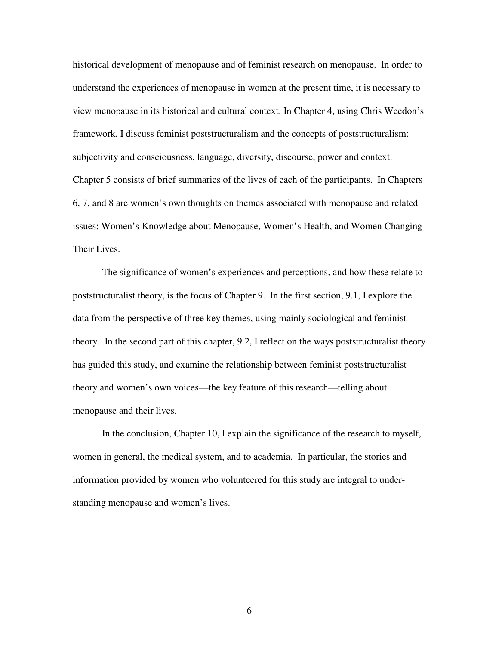historical development of menopause and of feminist research on menopause. In order to understand the experiences of menopause in women at the present time, it is necessary to view menopause in its historical and cultural context. In Chapter 4, using Chris Weedon's framework, I discuss feminist poststructuralism and the concepts of poststructuralism: subjectivity and consciousness, language, diversity, discourse, power and context. Chapter 5 consists of brief summaries of the lives of each of the participants. In Chapters 6, 7, and 8 are women's own thoughts on themes associated with menopause and related issues: Women's Knowledge about Menopause, Women's Health, and Women Changing Their Lives.

The significance of women's experiences and perceptions, and how these relate to poststructuralist theory, is the focus of Chapter 9. In the first section, 9.1, I explore the data from the perspective of three key themes, using mainly sociological and feminist theory. In the second part of this chapter, 9.2, I reflect on the ways poststructuralist theory has guided this study, and examine the relationship between feminist poststructuralist theory and women's own voices—the key feature of this research—telling about menopause and their lives.

In the conclusion, Chapter 10, I explain the significance of the research to myself, women in general, the medical system, and to academia. In particular, the stories and information provided by women who volunteered for this study are integral to understanding menopause and women's lives.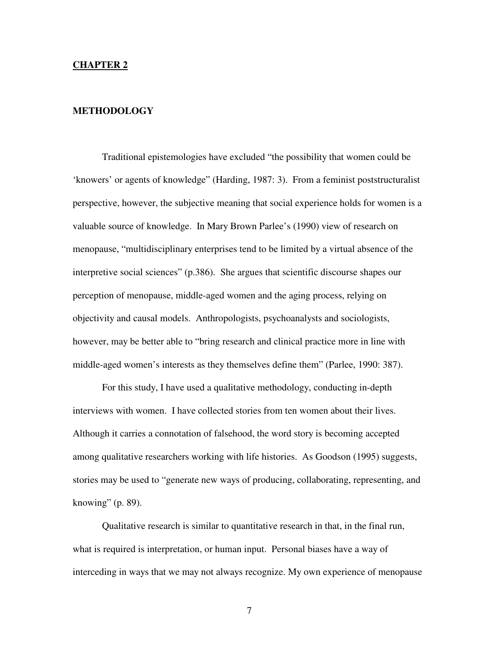#### **CHAPTER 2**

#### **METHODOLOGY**

Traditional epistemologies have excluded "the possibility that women could be 'knowers' or agents of knowledge" (Harding, 1987: 3). From a feminist poststructuralist perspective, however, the subjective meaning that social experience holds for women is a valuable source of knowledge. In Mary Brown Parlee's (1990) view of research on menopause, "multidisciplinary enterprises tend to be limited by a virtual absence of the interpretive social sciences" (p.386). She argues that scientific discourse shapes our perception of menopause, middle-aged women and the aging process, relying on objectivity and causal models. Anthropologists, psychoanalysts and sociologists, however, may be better able to "bring research and clinical practice more in line with middle-aged women's interests as they themselves define them" (Parlee, 1990: 387).

For this study, I have used a qualitative methodology, conducting in-depth interviews with women. I have collected stories from ten women about their lives. Although it carries a connotation of falsehood, the word story is becoming accepted among qualitative researchers working with life histories. As Goodson (1995) suggests, stories may be used to "generate new ways of producing, collaborating, representing, and knowing" (p. 89).

Qualitative research is similar to quantitative research in that, in the final run, what is required is interpretation, or human input. Personal biases have a way of interceding in ways that we may not always recognize. My own experience of menopause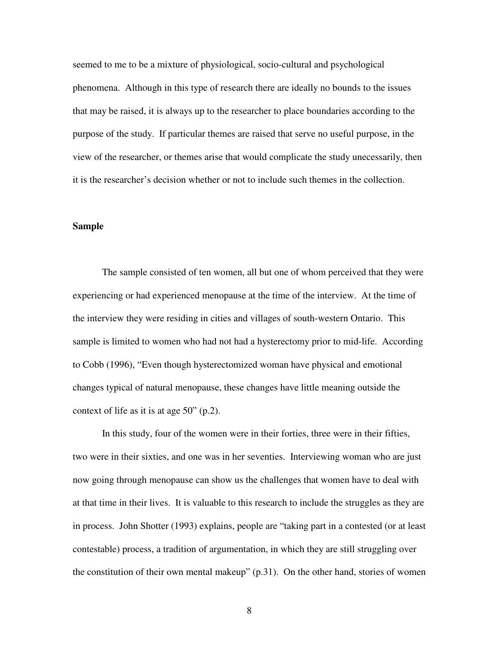seemed to me to be a mixture of physiological, socio-cultural and psychological phenomena. Although in this type of research there are ideally no bounds to the issues that may be raised, it is always up to the researcher to place boundaries according to the purpose of the study. If particular themes are raised that serve no useful purpose, in the view of the researcher, or themes arise that would complicate the study unecessarily, then it is the researcher's decision whether or not to include such themes in the collection.

#### **Sample**

The sample consisted of ten women, all but one of whom perceived that they were experiencing or had experienced menopause at the time of the interview. At the time of the interview they were residing in cities and villages of south-western Ontario. This sample is limited to women who had not had a hysterectomy prior to mid-life. According to Cobb (1996), "Even though hysterectomized woman have physical and emotional changes typical of natural menopause, these changes have little meaning outside the context of life as it is at age 50" (p.2).

In this study, four of the women were in their forties, three were in their fifties, two were in their sixties, and one was in her seventies. Interviewing woman who are just now going through menopause can show us the challenges that women have to deal with at that time in their lives. It is valuable to this research to include the struggles as they are in process. John Shotter (1993) explains, people are "taking part in a contested (or at least contestable) process, a tradition of argumentation, in which they are still struggling over the constitution of their own mental makeup" (p.31). On the other hand, stories of women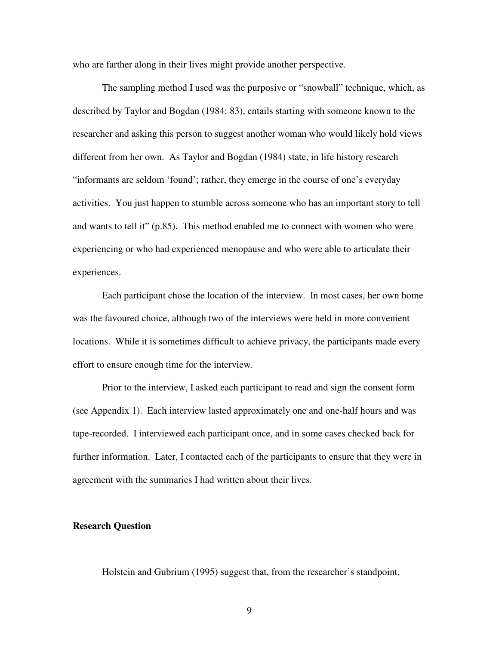who are farther along in their lives might provide another perspective.

The sampling method I used was the purposive or "snowball" technique, which, as described by Taylor and Bogdan (1984: 83), entails starting with someone known to the researcher and asking this person to suggest another woman who would likely hold views different from her own. As Taylor and Bogdan (1984) state, in life history research "informants are seldom 'found'; rather, they emerge in the course of one's everyday activities. You just happen to stumble across someone who has an important story to tell and wants to tell it" (p.85). This method enabled me to connect with women who were experiencing or who had experienced menopause and who were able to articulate their experiences.

Each participant chose the location of the interview. In most cases, her own home was the favoured choice, although two of the interviews were held in more convenient locations. While it is sometimes difficult to achieve privacy, the participants made every effort to ensure enough time for the interview.

Prior to the interview, I asked each participant to read and sign the consent form (see Appendix 1). Each interview lasted approximately one and one-half hours and was tape-recorded. I interviewed each participant once, and in some cases checked back for further information. Later, I contacted each of the participants to ensure that they were in agreement with the summaries I had written about their lives.

#### **Research Question**

Holstein and Gubrium (1995) suggest that, from the researcher's standpoint,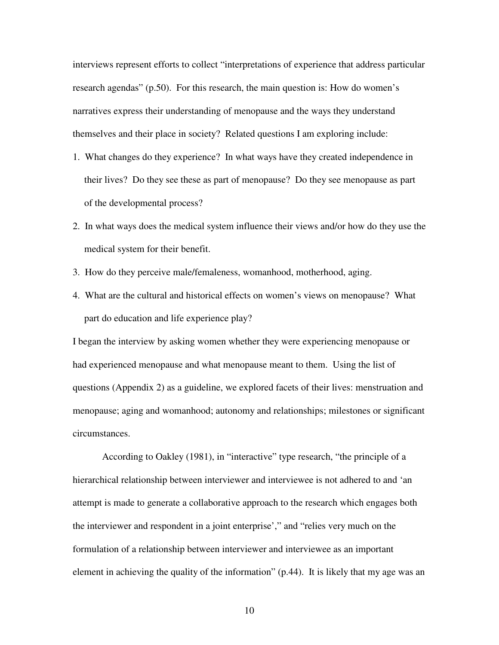interviews represent efforts to collect "interpretations of experience that address particular research agendas" (p.50). For this research, the main question is: How do women's narratives express their understanding of menopause and the ways they understand themselves and their place in society? Related questions I am exploring include:

- 1. What changes do they experience? In what ways have they created independence in their lives? Do they see these as part of menopause? Do they see menopause as part of the developmental process?
- 2. In what ways does the medical system influence their views and/or how do they use the medical system for their benefit.
- 3. How do they perceive male/femaleness, womanhood, motherhood, aging.
- 4. What are the cultural and historical effects on women's views on menopause? What part do education and life experience play?

I began the interview by asking women whether they were experiencing menopause or had experienced menopause and what menopause meant to them. Using the list of questions (Appendix 2) as a guideline, we explored facets of their lives: menstruation and menopause; aging and womanhood; autonomy and relationships; milestones or significant circumstances.

According to Oakley (1981), in "interactive" type research, "the principle of a hierarchical relationship between interviewer and interviewee is not adhered to and 'an attempt is made to generate a collaborative approach to the research which engages both the interviewer and respondent in a joint enterprise'," and "relies very much on the formulation of a relationship between interviewer and interviewee as an important element in achieving the quality of the information" (p.44). It is likely that my age was an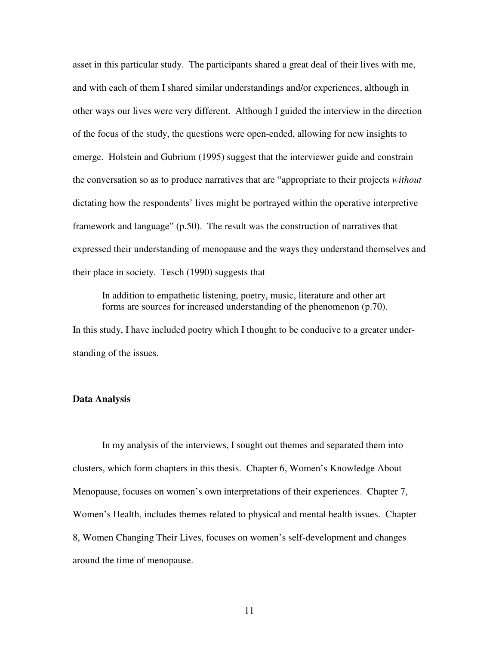asset in this particular study. The participants shared a great deal of their lives with me, and with each of them I shared similar understandings and/or experiences, although in other ways our lives were very different. Although I guided the interview in the direction of the focus of the study, the questions were open-ended, allowing for new insights to emerge. Holstein and Gubrium (1995) suggest that the interviewer guide and constrain the conversation so as to produce narratives that are "appropriate to their projects *without* dictating how the respondents' lives might be portrayed within the operative interpretive framework and language" (p.50). The result was the construction of narratives that expressed their understanding of menopause and the ways they understand themselves and their place in society. Tesch (1990) suggests that

In addition to empathetic listening, poetry, music, literature and other art forms are sources for increased understanding of the phenomenon (p.70).

In this study, I have included poetry which I thought to be conducive to a greater understanding of the issues.

#### **Data Analysis**

In my analysis of the interviews, I sought out themes and separated them into clusters, which form chapters in this thesis. Chapter 6, Women's Knowledge About Menopause, focuses on women's own interpretations of their experiences. Chapter 7, Women's Health, includes themes related to physical and mental health issues. Chapter 8, Women Changing Their Lives, focuses on women's self-development and changes around the time of menopause.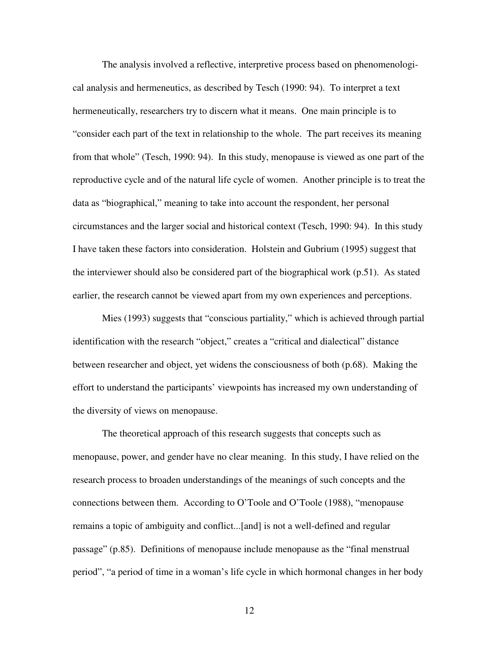The analysis involved a reflective, interpretive process based on phenomenological analysis and hermeneutics, as described by Tesch (1990: 94). To interpret a text hermeneutically, researchers try to discern what it means. One main principle is to "consider each part of the text in relationship to the whole. The part receives its meaning from that whole" (Tesch, 1990: 94). In this study, menopause is viewed as one part of the reproductive cycle and of the natural life cycle of women. Another principle is to treat the data as "biographical," meaning to take into account the respondent, her personal circumstances and the larger social and historical context (Tesch, 1990: 94). In this study I have taken these factors into consideration. Holstein and Gubrium (1995) suggest that the interviewer should also be considered part of the biographical work (p.51). As stated earlier, the research cannot be viewed apart from my own experiences and perceptions.

Mies (1993) suggests that "conscious partiality," which is achieved through partial identification with the research "object," creates a "critical and dialectical" distance between researcher and object, yet widens the consciousness of both (p.68). Making the effort to understand the participants' viewpoints has increased my own understanding of the diversity of views on menopause.

The theoretical approach of this research suggests that concepts such as menopause, power, and gender have no clear meaning. In this study, I have relied on the research process to broaden understandings of the meanings of such concepts and the connections between them. According to O'Toole and O'Toole (1988), "menopause remains a topic of ambiguity and conflict...[and] is not a well-defined and regular passage" (p.85). Definitions of menopause include menopause as the "final menstrual period", "a period of time in a woman's life cycle in which hormonal changes in her body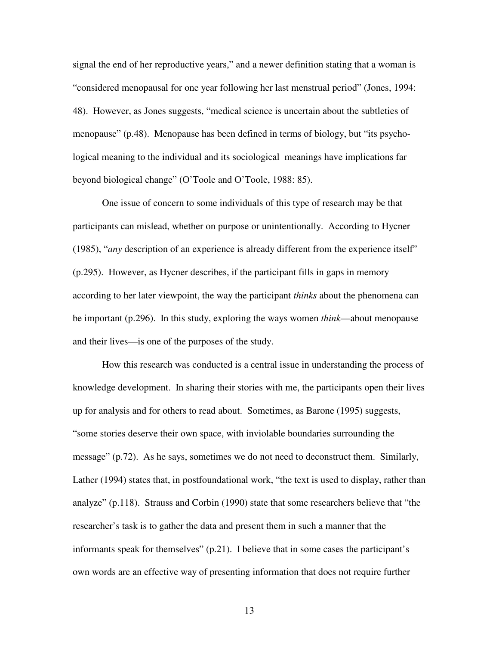signal the end of her reproductive years," and a newer definition stating that a woman is "considered menopausal for one year following her last menstrual period" (Jones, 1994: 48). However, as Jones suggests, "medical science is uncertain about the subtleties of menopause" (p.48). Menopause has been defined in terms of biology, but "its psychological meaning to the individual and its sociological meanings have implications far beyond biological change" (O'Toole and O'Toole, 1988: 85).

One issue of concern to some individuals of this type of research may be that participants can mislead, whether on purpose or unintentionally. According to Hycner (1985), "*any* description of an experience is already different from the experience itself" (p.295). However, as Hycner describes, if the participant fills in gaps in memory according to her later viewpoint, the way the participant *thinks* about the phenomena can be important (p.296). In this study, exploring the ways women *think*—about menopause and their lives—is one of the purposes of the study.

How this research was conducted is a central issue in understanding the process of knowledge development. In sharing their stories with me, the participants open their lives up for analysis and for others to read about. Sometimes, as Barone (1995) suggests, "some stories deserve their own space, with inviolable boundaries surrounding the message" (p.72). As he says, sometimes we do not need to deconstruct them. Similarly, Lather (1994) states that, in postfoundational work, "the text is used to display, rather than analyze" (p.118). Strauss and Corbin (1990) state that some researchers believe that "the researcher's task is to gather the data and present them in such a manner that the informants speak for themselves" (p.21). I believe that in some cases the participant's own words are an effective way of presenting information that does not require further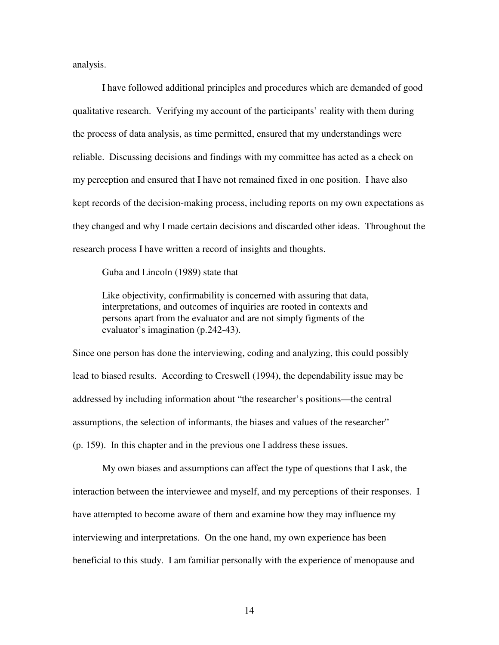analysis.

I have followed additional principles and procedures which are demanded of good qualitative research. Verifying my account of the participants' reality with them during the process of data analysis, as time permitted, ensured that my understandings were reliable. Discussing decisions and findings with my committee has acted as a check on my perception and ensured that I have not remained fixed in one position. I have also kept records of the decision-making process, including reports on my own expectations as they changed and why I made certain decisions and discarded other ideas. Throughout the research process I have written a record of insights and thoughts.

Guba and Lincoln (1989) state that

Like objectivity, confirmability is concerned with assuring that data, interpretations, and outcomes of inquiries are rooted in contexts and persons apart from the evaluator and are not simply figments of the evaluator's imagination (p.242-43).

Since one person has done the interviewing, coding and analyzing, this could possibly lead to biased results. According to Creswell (1994), the dependability issue may be addressed by including information about "the researcher's positions—the central assumptions, the selection of informants, the biases and values of the researcher" (p. 159). In this chapter and in the previous one I address these issues.

My own biases and assumptions can affect the type of questions that I ask, the interaction between the interviewee and myself, and my perceptions of their responses. I have attempted to become aware of them and examine how they may influence my interviewing and interpretations. On the one hand, my own experience has been beneficial to this study. I am familiar personally with the experience of menopause and